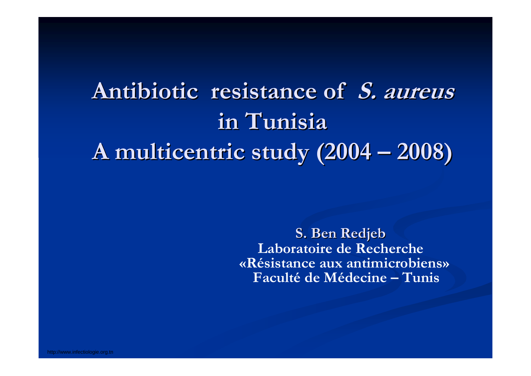## **Antibiotic resistance of S. aureus in Tunisia in TunisiaA multicentric study (2004**  $\cdot$ **2008)**

**S. Ben Redjeb S. Ben Redjeb Laboratoire de Recherche «Résistance aux antimicrobiens» Faculté de Médecine – Tunis**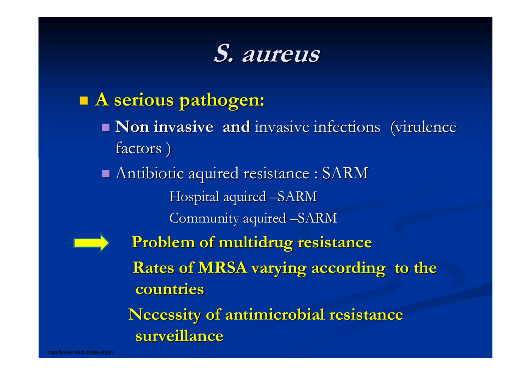# **S. aureus S. aureus**

### **A serious pathogen: A serious pathogen:**

- **Non invasive and** invasive infections (virulence factors)
- Antibiotic aquired resistance : SARM Antibiotic aquired resistance : SARM Hospital aquired –SARM
	- Community aquired –SARM



**Problem of multidrug resistance Problem of multidrug resistance Rates of MRSA varying according to the countries countries**

**Necessity of antimicrobial resistance** surveillance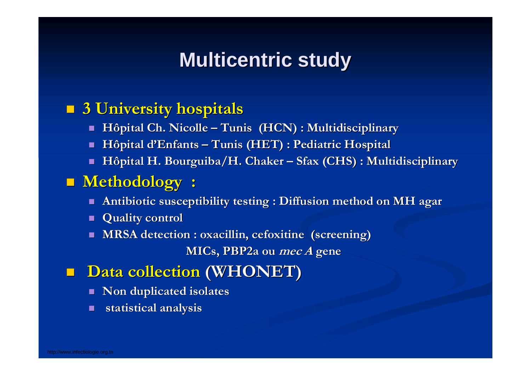## **Multicentric study**

### **3 University hospitals 3 University hospitals**

- п ■ Hôpital Ch. Nicolle – Tunis (HCN) : Multidisciplinary
- П  $\blacksquare$  **Hôpital d'Enfants – Tunis (HET) : Pediatric Hospital**
- П **Hôpital H. Bourguiba/H. Chaker Hôpital H. Bourguiba/H. Chaker – Sfax (CHS) : Multidisciplinary Sfax (CHS) : Multidisciplinary**

### **Methodology :**

- П **Antibiotic susceptibility testing : Diffusion method on MH agar Antibiotic susceptibility testing : Diffusion method on MH agar**
- П **Quality control Quality control**
- П **MRSA detection : oxacillin, cefoxitine (screening) MRSA detection : oxacillin, cefoxitine (screening)**

**MICs, PBP2a ou MICs, PBP2a ou mec A gene** 

- **n** Data collection (WHONET)
	- $\mathbf{r}$ **Non duplicated isolates**
	- П **statistical analysis statistical analysis**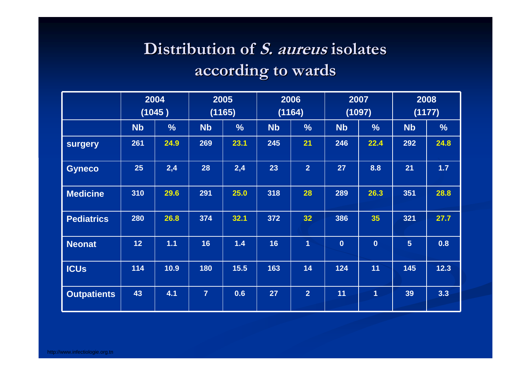### **Distribution of Distribution of S. aureus S. aureus isolates isolates according to wards according to wards**

|                    |                 | 2004<br>(1045) |                | 2005<br>(1165) |           | 2006<br>(1164)  |           | 2007<br>(1097) |                | 2008<br>(1177)   |
|--------------------|-----------------|----------------|----------------|----------------|-----------|-----------------|-----------|----------------|----------------|------------------|
|                    | <b>Nb</b>       | $\frac{9}{6}$  | <b>Nb</b>      | $\frac{9}{6}$  | <b>Nb</b> | $\frac{9}{6}$   | <b>Nb</b> | $\frac{9}{6}$  | <b>Nb</b>      | $\frac{9}{6}$    |
| surgery            | 261             | 24.9           | 269            | 23.1           | 245       | 21              | 246       | 22.4           | 292            | 24.8             |
| <b>Gyneco</b>      | 25              | 2,4            | 28             | 2,4            | 23        | 2 <sup>1</sup>  | 27        | 8.8            | 21             | 1.7 <sub>z</sub> |
| <b>Medicine</b>    | 310             | 29.6           | 291            | 25.0           | 318       | 28              | 289       | 26.3           | 351            | 28.8             |
| <b>Pediatrics</b>  | 280             | 26.8           | 374            | 32.1           | 372       | 32 <sup>7</sup> | 386       | 35             | 321            | 27.7             |
| <b>Neonat</b>      | 12 <sub>2</sub> | 1.1            | 16             | 1.4            | 16        | $\overline{1}$  | $\bf{0}$  | $\mathbf 0$    | 5 <sup>5</sup> | 0.8              |
| <b>ICUS</b>        | 114             | 10.9           | 180            | $15.5$         | 163       | 14              | 124       | 11             | 145            | 12.3             |
| <b>Outpatients</b> | 43              | 4.1            | $\overline{7}$ | 0.6            | 27        | 2 <sup>1</sup>  | 11        | $\overline{1}$ | 39             | 3.3              |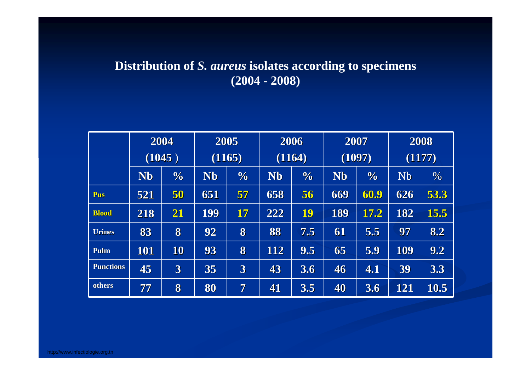#### **Distribution of** *S. aureus* **isolates according to specimens (2004 - 2008)**

|                  | 2004       |               | 2005      |                         | 2006      |               | 2007      |               | 2008      |      |
|------------------|------------|---------------|-----------|-------------------------|-----------|---------------|-----------|---------------|-----------|------|
|                  | (1045)     |               | (1165)    |                         | (1164)    |               | (1097)    |               | (1177)    |      |
|                  | <b>Nb</b>  | $\frac{0}{0}$ | <b>Nb</b> | $\frac{0}{0}$           | <b>Nb</b> | $\frac{1}{2}$ | <b>Nb</b> | $\frac{1}{2}$ | <b>Nb</b> | %    |
| Pus              | 521        | 50            | 651       | 57                      | 658       | 56            | 669       | 60.9          | 626       | 53.3 |
| <b>Blood</b>     | 218        | 21            | 199       | $\bm{17}$               | 222       | 19            | 189       | 17.2          | 182       | 15.5 |
| <b>Urines</b>    | 83         | 8             | 92        | 8                       | 88        | 7.5           | 61        | 5.5           | 97        | 8.2  |
| Pulm             | <b>101</b> | 10            | 93        | 8                       | 112       | 9.5           | 65        | 5.9           | 109       | 9.2  |
| <b>Punctions</b> | 45         | 3             | 35        | $\overline{\mathbf{3}}$ | 43        | 3.6           | 46        | 4.1           | 39        | 3.3  |
| others           | 77         | 8             | 80        | 7                       | 41        | 3.5           | 40        | 3.6           | 121       | 10.5 |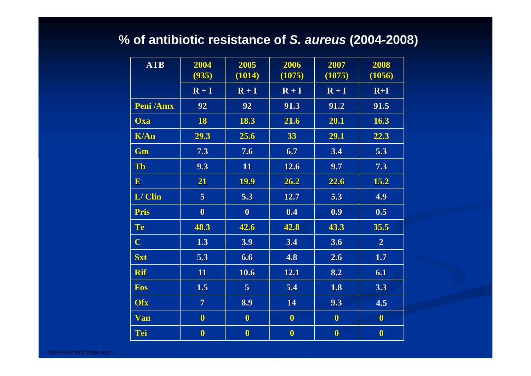#### **% of antibiotic resistance of** *S. aureus* **(2004-2008)**

| <b>ATB</b>       | 2004             | 2005           | 2006         | 2007         | 2008           |
|------------------|------------------|----------------|--------------|--------------|----------------|
|                  | (935)            | (1014)         | (1075)       | (1075)       | (1056)         |
|                  | $R + I$          | $R + I$        | $R + I$      | $R + I$      | $R+I$          |
| <b>Peni</b> /Amx | 92               | 92             | 91.3         | 91.2         | 91.5           |
| <b>Oxa</b>       | 18               | 18.3           | 21.6         | 20.1         | 16.3           |
| <b>K/An</b>      | 29.3             | 25.6           | 33           | 29.1         | 22.3           |
| Gm               | 7.3              | 7.6            | 6.7          | 3.4          | 5.3            |
| Tb               | 9.3              | 11             | 12.6         | 9.7          | 7.3            |
| $\mathbf{E}$     | 21               | 19.9           | 26.2         | 22.6         | 15.2           |
| L/Clin           | 5 <sup>1</sup>   | 5.3            | 12.7         | 5.3          | 4.9            |
| <b>Pris</b>      | $\boldsymbol{0}$ | $\mathbf{0}$   | 0.4          | 0.9          | 0.5            |
| Te               | 48.3             | 42.6           | 42.8         | 43.3         | 35.5           |
| $\mathbf C$      | 1.3              | 3.9            | 3.4          | 3.6          | $\overline{2}$ |
| <b>Sxt</b>       | 5.3              | 6.6            | 4.8          | 2.6          | 1.7            |
| <b>Rif</b>       | <b>11</b>        | 10.6           | 12.1         | 8.2          | 6.1            |
| Fos              | 1.5              | 5 <sup>1</sup> | 5.4          | 1.8          | 3.3            |
| <b>Ofx</b>       | $\overline{7}$   | 8.9            | 14           | 9.3          | 4.5            |
| <b>Van</b>       | $\mathbf{0}$     | $\mathbf{0}$   | $\mathbf{0}$ | $\mathbf{0}$ | $\mathbf{0}$   |
| Tei              | $\mathbf{0}$     | $\mathbf{0}$   | $\mathbf{0}$ | $\mathbf{0}$ | $\mathbf 0$    |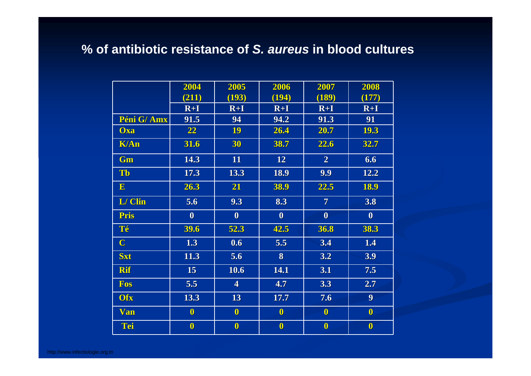#### % of antibiotic resistance of S. aureus in blood cultures

|              | 2004             | 2005                    | 2006             | 2007             | 2008             |
|--------------|------------------|-------------------------|------------------|------------------|------------------|
|              | (211)            | (193)                   | (194)            | (189)            | (177)            |
|              | $R+I$            | $R+I$                   | $R+I$            | $R+I$            | $R+I$            |
| Péni G/Amx   | 91.5             | 94                      | 94.2             | 91.3             | 91               |
| <b>Oxa</b>   | 22               | 19                      | 26.4             | 20.7             | 19.3             |
| <b>K/An</b>  | 31.6             | 30                      | 38.7             | 22.6             | 32.7             |
| Gm           | 14.3             | 11                      | 12               | $\overline{2}$   | 6.6              |
| Tb           | 17.3             | 13.3                    | 18.9             | 9.9              | 12.2             |
| $\mathbf{E}$ | 26.3             | 21                      | 38.9             | 22.5             | 18.9             |
| L/ Clin      | 5.6              | 9.3                     | 8.3              | $\overline{7}$   | 3.8              |
| <b>Pris</b>  | $\boldsymbol{0}$ | $\boldsymbol{0}$        | $\boldsymbol{0}$ | $\boldsymbol{0}$ | $\boldsymbol{0}$ |
| Té           | 39.6             | 52.3                    | 42.5             | 36.8             | 38.3             |
| $\mathbf C$  | 1.3              | 0.6                     | 5.5              | 3.4              | 1.4              |
| <b>Sxt</b>   | 11.3             | 5.6                     | 8                | 3.2              | 3.9              |
| <b>Rif</b>   | 15               | 10.6                    | 14.1             | 3.1              | 7.5              |
| <b>Fos</b>   | 5.5              | $\overline{\mathbf{4}}$ | 4.7              | 3.3              | 2.7              |
| <b>Ofx</b>   | 13.3             | 13                      | 17.7             | 7.6              | 9 <sup>1</sup>   |
| <b>Van</b>   | $\mathbf{0}$     | $\bf{0}$                | $\mathbf{0}$     | $\bf{0}$         | $\bf{0}$         |
| Tei          | $\mathbf{0}$     | $\boldsymbol{0}$        | $\mathbf{0}$     | $\bf{0}$         | $\mathbf{0}$     |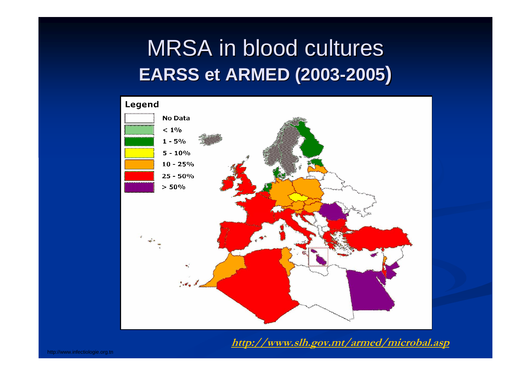# MRSA in blood cultures **EARSS et ARMED (2003 EARSS et ARMED (2003 -2005 )**



**http://www.slh.gov.mt/armed/microbal.asp**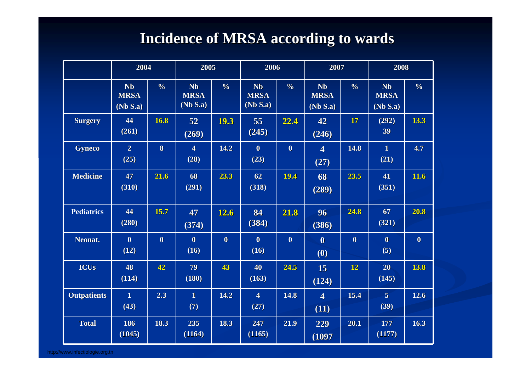### **Incidence of MRSA according to wards Incidence of MRSA according to wards**

|                    | 2004                                 |               | 2005                                 |               | 2006                                 | 2007          |                                      |                  | 2008                                 |                  |
|--------------------|--------------------------------------|---------------|--------------------------------------|---------------|--------------------------------------|---------------|--------------------------------------|------------------|--------------------------------------|------------------|
|                    | <b>Nb</b><br><b>MRSA</b><br>(Nb S.a) | $\frac{6}{6}$ | <b>Nb</b><br><b>MRSA</b><br>(Nb S.a) | $\frac{9}{6}$ | <b>Nb</b><br><b>MRSA</b><br>(Nb S.a) | $\frac{0}{6}$ | <b>Nb</b><br><b>MRSA</b><br>(Nb S.a) | $\frac{6}{6}$    | <b>Nb</b><br><b>MRSA</b><br>(Nb S.a) | $\frac{0}{6}$    |
| <b>Surgery</b>     | 44<br>(261)                          | 16.8          | 52<br>(269)                          | 19.3          | 55<br>(245)                          | 22.4          | 42<br>(246)                          | 17               | (292)<br>39                          | 13.3             |
| <b>Gyneco</b>      | $\overline{2}$<br>(25)               | $\bf{8}$      | $\overline{\mathbf{4}}$<br>(28)      | 14.2          | $\bf{0}$<br>(23)                     | $\bf{0}$      | $\overline{\mathbf{4}}$<br>(27)      | 14.8             | $\mathbf{1}$<br>(21)                 | 4.7              |
| <b>Medicine</b>    | 47<br>(310)                          | 21.6          | 68<br>(291)                          | 23.3          | 62<br>(318)                          | 19.4          | 68<br>(289)                          | 23.5             | 41<br>(351)                          | 11.6             |
| <b>Pediatrics</b>  | 44<br>(280)                          | 15.7          | 47<br>(374)                          | 12.6          | 84<br>(384)                          | 21.8          | 96<br>(386)                          | 24.8             | 67<br>(321)                          | 20.8             |
| Neonat.            | $\bf{0}$<br>(12)                     | $\mathbf{0}$  | $\bf{0}$<br>(16)                     | $\bf{0}$      | $\bf{0}$<br>(16)                     | $\bf{0}$      | $\bf{0}$<br>(0)                      | $\boldsymbol{0}$ | $\bf{0}$<br>(5)                      | $\boldsymbol{0}$ |
| <b>ICUs</b>        | 48<br>(114)                          | 42            | 79<br>(180)                          | 43            | 40<br>(163)                          | 24.5          | 15<br>(124)                          | 12               | 20<br>(145)                          | 13.8             |
| <b>Outpatients</b> | $\mathbf{1}$<br>(43)                 | 2.3           | $\mathbf{1}$<br>(7)                  | 14.2          | $\overline{\mathbf{4}}$<br>(27)      | 14.8          | $\overline{\mathbf{4}}$<br>(11)      | 15.4             | $\overline{5}$<br>(39)               | 12.6             |
| <b>Total</b>       | 186<br>(1045)                        | 18.3          | 235<br>(1164)                        | 18.3          | 247<br>(1165)                        | 21.9          | 229<br>(1097)                        | 20.1             | 177<br>(1177)                        | 16.3             |

http://www.infectiologie.org.tn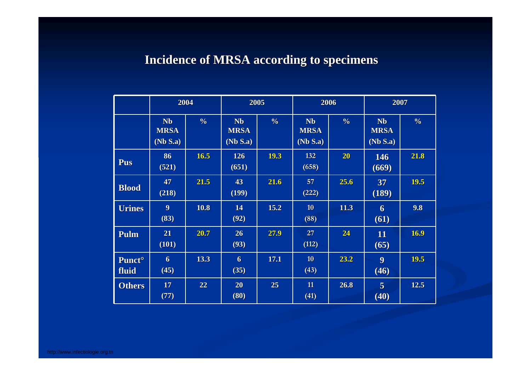#### **Incidence of MRSA according to specimens Incidence of MRSA according to specimens**

|                                    | 2004                                 |               |                                      | 2005          |                                      | 2006            |                                      | 2007          |  |
|------------------------------------|--------------------------------------|---------------|--------------------------------------|---------------|--------------------------------------|-----------------|--------------------------------------|---------------|--|
|                                    | <b>Nb</b><br><b>MRSA</b><br>(Nb S.a) | $\frac{6}{6}$ | <b>Nb</b><br><b>MRSA</b><br>(Nb S.a) | $\frac{6}{6}$ | <b>Nb</b><br><b>MRSA</b><br>(Nb S.a) | $\frac{6}{6}$   | <b>Nb</b><br><b>MRSA</b><br>(Nb S.a) | $\frac{0}{0}$ |  |
| <b>Pus</b>                         | 86<br>(521)                          | 16.5          | 126<br>(651)                         | 19.3          | 132<br>(658)                         | 20 <sub>2</sub> | <b>146</b><br>(669)                  | 21.8          |  |
| <b>Blood</b>                       | 47<br>(218)                          | 21.5          | 43<br>(199)                          | 21.6          | 57<br>(222)                          | 25.6            | 37<br>(189)                          | 19.5          |  |
| <b>Urines</b>                      | 9 <sup>°</sup><br>(83)               | 10.8          | 14<br>(92)                           | 15.2          | 10<br>(88)                           | 11.3            | 6<br>(61)                            | 9.8           |  |
| Pulm                               | 21<br>(101)                          | 20.7          | 26<br>(93)                           | 27.9          | 27<br>(112)                          | 24              | <b>11</b><br>(65)                    | 16.9          |  |
| <b>Punct</b> <sup>o</sup><br>fluid | 6<br>(45)                            | 13.3          | 6<br>(35)                            | 17.1          | 10<br>(43)                           | 23.2            | $\boldsymbol{9}$<br>(46)             | 19.5          |  |
| <b>Others</b>                      | 17<br>(77)                           | 22            | 20<br>(80)                           | 25            | 11<br>(41)                           | 26.8            | $\overline{5}$<br>(40)               | 12.5          |  |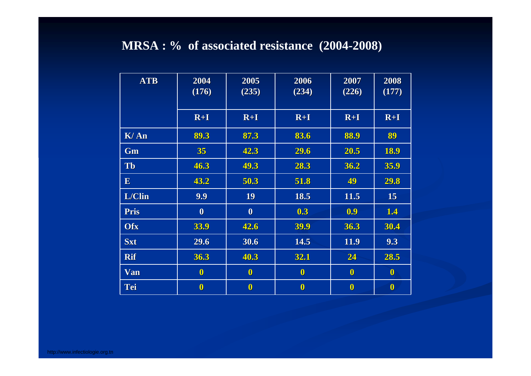#### MRSA: % of associated resistance (2004-2008)

| <b>ATB</b>   | 2004<br>(176)    | 2005<br>(235)    | 2006<br>(234) | 2007<br>(226) | 2008<br>(177) |
|--------------|------------------|------------------|---------------|---------------|---------------|
|              | $R+I$            | $R+I$            | $R+I$         | $R+I$         | $R+I$         |
| K/An         | 89.3             | 87.3             | 83.6          | 88.9          | 89            |
| Gm           | 35               | 42.3             | 29.6          | 20.5          | 18.9          |
| <b>Tb</b>    | 46.3             | 49.3             | 28.3          | 36.2          | 35.9          |
| $\mathbf{E}$ | 43.2             | 50.3             | 51.8          | 49            | 29.8          |
| L/Clin       | 9.9              | <b>19</b>        | 18.5          | 11.5          | <b>15</b>     |
| Pris         | $\boldsymbol{0}$ | $\boldsymbol{0}$ | 0.3           | 0.9           | 1.4           |
| Ofx          | 33.9             | 42.6             | 39.9          | 36.3          | 30.4          |
| <b>Sxt</b>   | 29.6             | 30.6             | 14.5          | 11.9          | 9.3           |
| <b>Rif</b>   | 36.3             | 40.3             | 32.1          | 24            | 28.5          |
| <b>Van</b>   | $\mathbf{0}$     | $\mathbf{0}$     | $\mathbf{0}$  | $\mathbf{0}$  | $\mathbf{0}$  |
| <b>Tei</b>   | $\mathbf{0}$     | $\bf{0}$         | $\bf{0}$      | $\mathbf{0}$  | $\bf{0}$      |

http://www.infectiologie.org.tn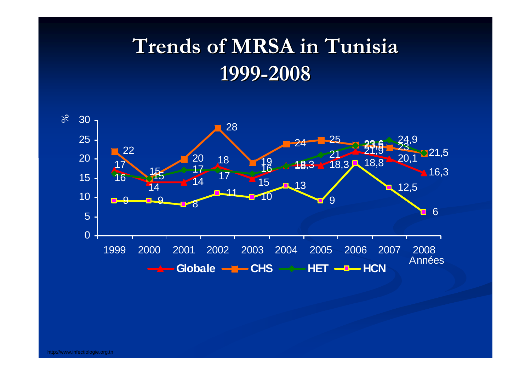# **Trends of MRSA in Tunisia Trends of MRSA in Tunisia-2008**